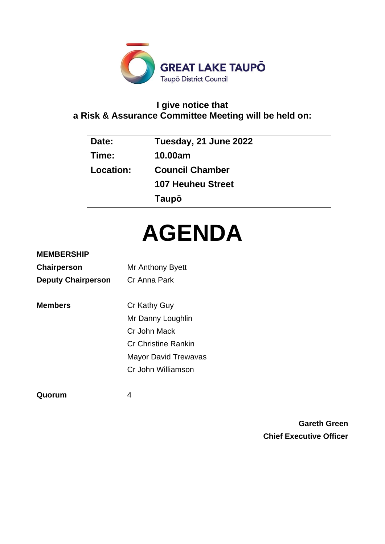

# **I give notice that a Risk & Assurance Committee Meeting will be held on:**

| Date:     | Tuesday, 21 June 2022    |
|-----------|--------------------------|
| Time:     | 10.00am                  |
| Location: | <b>Council Chamber</b>   |
|           | <b>107 Heuheu Street</b> |
|           | Taupō                    |

# **AGENDA**

# **MEMBERSHIP**

| Chairperson               | Mr Anthony Byett            |
|---------------------------|-----------------------------|
| <b>Deputy Chairperson</b> | Cr Anna Park                |
|                           |                             |
| <b>Members</b>            | Cr Kathy Guy                |
|                           | Mr Danny Loughlin           |
|                           | Cr John Mack                |
|                           | Cr Christine Rankin         |
|                           | <b>Mayor David Trewavas</b> |
|                           | Cr John Williamson          |

**Quorum** 4

**Gareth Green Chief Executive Officer**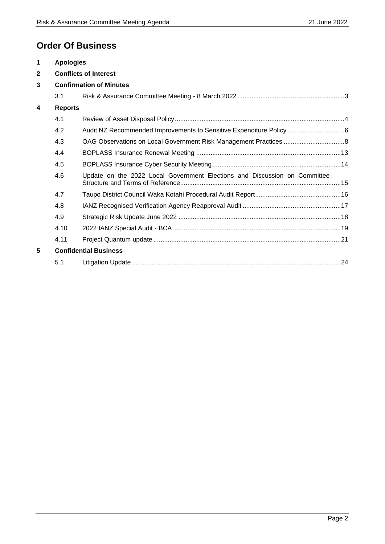# **Order Of Business**

| 1            | <b>Apologies</b> |                                                                           |
|--------------|------------------|---------------------------------------------------------------------------|
| $\mathbf{2}$ |                  | <b>Conflicts of Interest</b>                                              |
| 3            |                  | <b>Confirmation of Minutes</b>                                            |
|              | 3.1              |                                                                           |
| 4            | <b>Reports</b>   |                                                                           |
|              | 4.1              |                                                                           |
|              | 4.2              |                                                                           |
|              | 4.3              |                                                                           |
|              | 4.4              |                                                                           |
|              | 4.5              |                                                                           |
|              | 4.6              | Update on the 2022 Local Government Elections and Discussion on Committee |
|              | 4.7              |                                                                           |
|              | 4.8              |                                                                           |
|              | 4.9              |                                                                           |
|              | 4.10             |                                                                           |
|              | 4.11             |                                                                           |
| 5            |                  | <b>Confidential Business</b>                                              |
|              | 5.1              |                                                                           |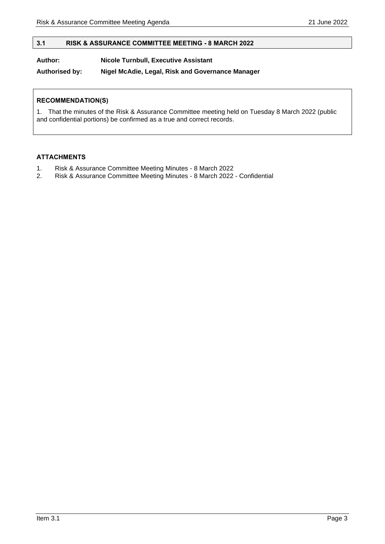# <span id="page-2-0"></span>**3.1 RISK & ASSURANCE COMMITTEE MEETING - 8 MARCH 2022**

# **Author: Nicole Turnbull, Executive Assistant**

**Authorised by: Nigel McAdie, Legal, Risk and Governance Manager**

# **RECOMMENDATION(S)**

1. That the minutes of the Risk & Assurance Committee meeting held on Tuesday 8 March 2022 (public and confidential portions) be confirmed as a true and correct records.

# **ATTACHMENTS**

- 1. Risk & Assurance Committee Meeting Minutes 8 March 2022
- 2. Risk & Assurance Committee Meeting Minutes 8 March 2022 Confidential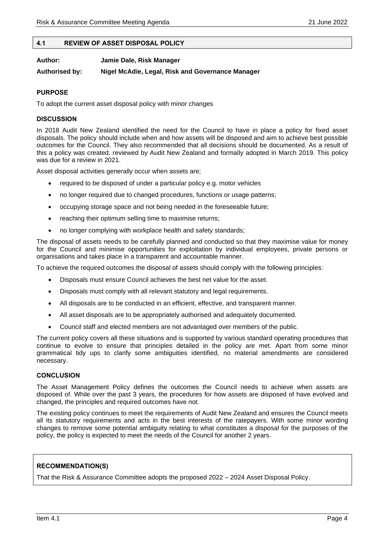# <span id="page-3-0"></span>**4.1 REVIEW OF ASSET DISPOSAL POLICY**

| Author:        | Jamie Dale, Risk Manager                         |
|----------------|--------------------------------------------------|
| Authorised by: | Nigel McAdie, Legal, Risk and Governance Manager |

# **PURPOSE**

To adopt the current asset disposal policy with minor changes

#### **DISCUSSION**

In 2018 Audit New Zealand identified the need for the Council to have in place a policy for fixed asset disposals. The policy should include when and how assets will be disposed and aim to achieve best possible outcomes for the Council. They also recommended that all decisions should be documented. As a result of this a policy was created, reviewed by Audit New Zealand and formally adopted in March 2019. This policy was due for a review in 2021.

Asset disposal activities generally occur when assets are;

- required to be disposed of under a particular policy e.g. motor vehicles
- no longer required due to changed procedures, functions or usage patterns;
- occupying storage space and not being needed in the foreseeable future;
- reaching their optimum selling time to maximise returns;
- no longer complying with workplace health and safety standards:

The disposal of assets needs to be carefully planned and conducted so that they maximise value for money for the Council and minimise opportunities for exploitation by individual employees, private persons or organisations and takes place in a transparent and accountable manner.

To achieve the required outcomes the disposal of assets should comply with the following principles:

- Disposals must ensure Council achieves the best net value for the asset.
- Disposals must comply with all relevant statutory and legal requirements.
- All disposals are to be conducted in an efficient, effective, and transparent manner.
- All asset disposals are to be appropriately authorised and adequately documented.
- Council staff and elected members are not advantaged over members of the public.

The current policy covers all these situations and is supported by various standard operating procedures that continue to evolve to ensure that principles detailed in the policy are met. Apart from some minor grammatical tidy ups to clarify some ambiguities identified, no material amendments are considered necessary.

#### **CONCLUSION**

The Asset Management Policy defines the outcomes the Council needs to achieve when assets are disposed of. While over the past 3 years, the procedures for how assets are disposed of have evolved and changed, the principles and required outcomes have not.

The existing policy continues to meet the requirements of Audit New Zealand and ensures the Council meets all its statutory requirements and acts in the best interests of the ratepayers. With some minor wording changes to remove some potential ambiguity relating to what constitutes a disposal for the purposes of the policy, the policy is expected to meet the needs of the Council for another 2 years.

#### **RECOMMENDATION(S)**

That the Risk & Assurance Committee adopts the proposed 2022 – 2024 Asset Disposal Policy.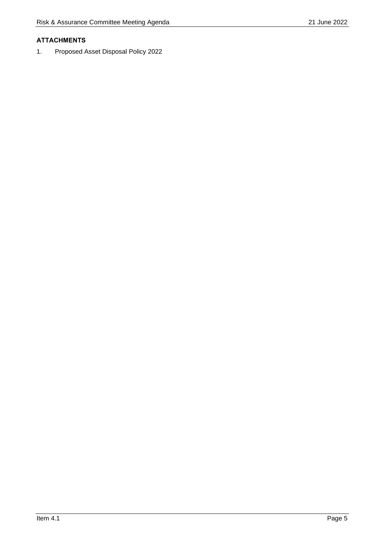# **ATTACHMENTS**

1. Proposed Asset Disposal Policy 2022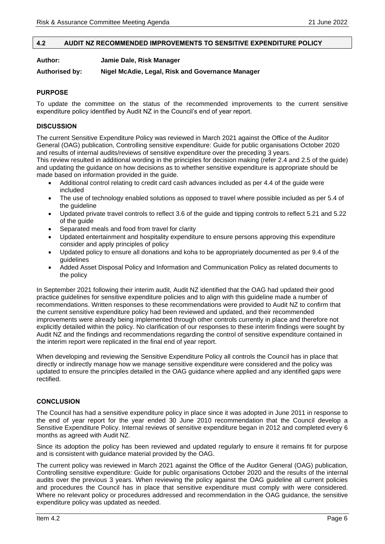#### <span id="page-5-0"></span>**4.2 AUDIT NZ RECOMMENDED IMPROVEMENTS TO SENSITIVE EXPENDITURE POLICY**

**Author: Jamie Dale, Risk Manager**

**Authorised by: Nigel McAdie, Legal, Risk and Governance Manager**

# **PURPOSE**

To update the committee on the status of the recommended improvements to the current sensitive expenditure policy identified by Audit NZ in the Council's end of year report.

# **DISCUSSION**

The current Sensitive Expenditure Policy was reviewed in March 2021 against the Office of the Auditor General (OAG) publication, Controlling sensitive expenditure: Guide for public organisations October 2020 and results of internal audits/reviews of sensitive expenditure over the preceding 3 years.

This review resulted in additional wording in the principles for decision making (refer 2.4 and 2.5 of the guide) and updating the guidance on how decisions as to whether sensitive expenditure is appropriate should be made based on information provided in the guide.

- Additional control relating to credit card cash advances included as per 4.4 of the guide were included
- The use of technology enabled solutions as opposed to travel where possible included as per 5.4 of the guideline
- Updated private travel controls to reflect 3.6 of the guide and tipping controls to reflect 5.21 and 5.22 of the guide
- Separated meals and food from travel for clarity
- Updated entertainment and hospitality expenditure to ensure persons approving this expenditure consider and apply principles of policy
- Updated policy to ensure all donations and koha to be appropriately documented as per 9.4 of the guidelines
- Added Asset Disposal Policy and Information and Communication Policy as related documents to the policy

In September 2021 following their interim audit, Audit NZ identified that the OAG had updated their good practice guidelines for sensitive expenditure policies and to align with this guideline made a number of recommendations. Written responses to these recommendations were provided to Audit NZ to confirm that the current sensitive expenditure policy had been reviewed and updated, and their recommended improvements were already being implemented through other controls currently in place and therefore not explicitly detailed within the policy. No clarification of our responses to these interim findings were sought by Audit NZ and the findings and recommendations regarding the control of sensitive expenditure contained in the interim report were replicated in the final end of year report.

When developing and reviewing the Sensitive Expenditure Policy all controls the Council has in place that directly or indirectly manage how we manage sensitive expenditure were considered and the policy was updated to ensure the principles detailed in the OAG guidance where applied and any identified gaps were rectified.

## **CONCLUSION**

The Council has had a sensitive expenditure policy in place since it was adopted in June 2011 in response to the end of year report for the year ended 30 June 2010 recommendation that the Council develop a Sensitive Expenditure Policy. Internal reviews of sensitive expenditure began in 2012 and completed every 6 months as agreed with Audit NZ.

Since its adoption the policy has been reviewed and updated regularly to ensure it remains fit for purpose and is consistent with guidance material provided by the OAG.

The current policy was reviewed in March 2021 against the Office of the Auditor General (OAG) publication, Controlling sensitive expenditure: Guide for public organisations October 2020 and the results of the internal audits over the previous 3 years. When reviewing the policy against the OAG guideline all current policies and procedures the Council has in place that sensitive expenditure must comply with were considered. Where no relevant policy or procedures addressed and recommendation in the OAG guidance, the sensitive expenditure policy was updated as needed.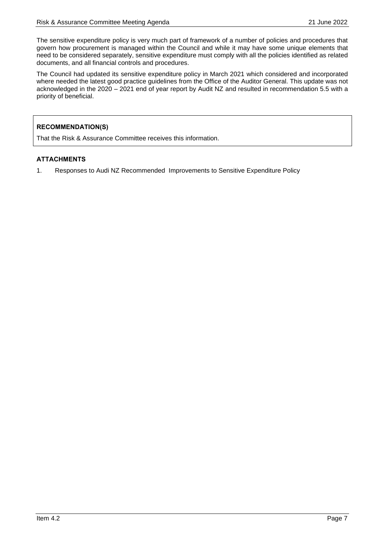The sensitive expenditure policy is very much part of framework of a number of policies and procedures that govern how procurement is managed within the Council and while it may have some unique elements that need to be considered separately, sensitive expenditure must comply with all the policies identified as related documents, and all financial controls and procedures.

The Council had updated its sensitive expenditure policy in March 2021 which considered and incorporated where needed the latest good practice guidelines from the Office of the Auditor General. This update was not acknowledged in the 2020 – 2021 end of year report by Audit NZ and resulted in recommendation 5.5 with a priority of beneficial.

# **RECOMMENDATION(S)**

That the Risk & Assurance Committee receives this information.

# **ATTACHMENTS**

1. Responses to Audi NZ Recommended Improvements to Sensitive Expenditure Policy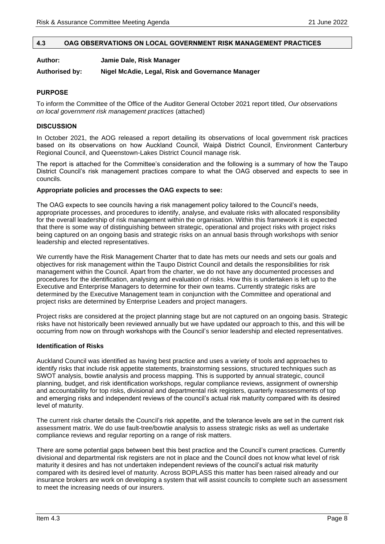#### <span id="page-7-0"></span>**4.3 OAG OBSERVATIONS ON LOCAL GOVERNMENT RISK MANAGEMENT PRACTICES**

#### **Author: Jamie Dale, Risk Manager**

#### **Authorised by: Nigel McAdie, Legal, Risk and Governance Manager**

# **PURPOSE**

To inform the Committee of the Office of the Auditor General October 2021 report titled, *Our observations on local government risk management practices* (attached)

## **DISCUSSION**

In October 2021, the AOG released a report detailing its observations of local government risk practices based on its observations on how Auckland Council, Waipā District Council, Environment Canterbury Regional Council, and Queenstown-Lakes District Council manage risk.

The report is attached for the Committee's consideration and the following is a summary of how the Taupo District Council's risk management practices compare to what the OAG observed and expects to see in councils.

#### **Appropriate policies and processes the OAG expects to see:**

The OAG expects to see councils having a risk management policy tailored to the Council's needs, appropriate processes, and procedures to identify, analyse, and evaluate risks with allocated responsibility for the overall leadership of risk management within the organisation. Within this framework it is expected that there is some way of distinguishing between strategic, operational and project risks with project risks being captured on an ongoing basis and strategic risks on an annual basis through workshops with senior leadership and elected representatives.

We currently have the Risk Management Charter that to date has mets our needs and sets our goals and objectives for risk management within the Taupo District Council and details the responsibilities for risk management within the Council. Apart from the charter, we do not have any documented processes and procedures for the identification, analysing and evaluation of risks. How this is undertaken is left up to the Executive and Enterprise Managers to determine for their own teams. Currently strategic risks are determined by the Executive Management team in conjunction with the Committee and operational and project risks are determined by Enterprise Leaders and project managers.

Project risks are considered at the project planning stage but are not captured on an ongoing basis. Strategic risks have not historically been reviewed annually but we have updated our approach to this, and this will be occurring from now on through workshops with the Council's senior leadership and elected representatives.

#### **Identification of Risks**

Auckland Council was identified as having best practice and uses a variety of tools and approaches to identify risks that include risk appetite statements, brainstorming sessions, structured techniques such as SWOT analysis, bowtie analysis and process mapping. This is supported by annual strategic, council planning, budget, and risk identification workshops, regular compliance reviews, assignment of ownership and accountability for top risks, divisional and departmental risk registers, quarterly reassessments of top and emerging risks and independent reviews of the council's actual risk maturity compared with its desired level of maturity.

The current risk charter details the Council's risk appetite, and the tolerance levels are set in the current risk assessment matrix. We do use fault-tree/bowtie analysis to assess strategic risks as well as undertake compliance reviews and regular reporting on a range of risk matters.

There are some potential gaps between best this best practice and the Council's current practices. Currently divisional and departmental risk registers are not in place and the Council does not know what level of risk maturity it desires and has not undertaken independent reviews of the council's actual risk maturity compared with its desired level of maturity. Across BOPLASS this matter has been raised already and our insurance brokers are work on developing a system that will assist councils to complete such an assessment to meet the increasing needs of our insurers.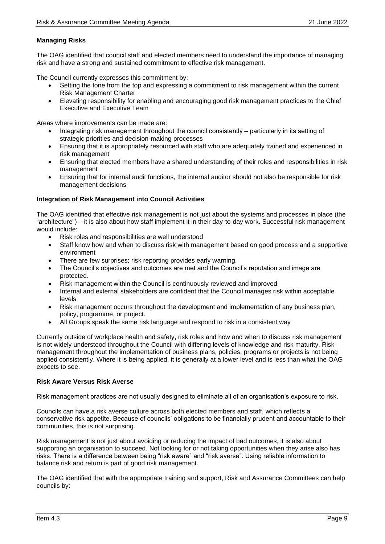# **Managing Risks**

The OAG identified that council staff and elected members need to understand the importance of managing risk and have a strong and sustained commitment to effective risk management.

The Council currently expresses this commitment by:

- Setting the tone from the top and expressing a commitment to risk management within the current Risk Management Charter
- Elevating responsibility for enabling and encouraging good risk management practices to the Chief Executive and Executive Team

Areas where improvements can be made are:

- Integrating risk management throughout the council consistently particularly in its setting of strategic priorities and decision-making processes
- Ensuring that it is appropriately resourced with staff who are adequately trained and experienced in risk management
- Ensuring that elected members have a shared understanding of their roles and responsibilities in risk management
- Ensuring that for internal audit functions, the internal auditor should not also be responsible for risk management decisions

# **Integration of Risk Management into Council Activities**

The OAG identified that effective risk management is not just about the systems and processes in place (the "architecture") – it is also about how staff implement it in their day-to-day work. Successful risk management would include:

- Risk roles and responsibilities are well understood
- Staff know how and when to discuss risk with management based on good process and a supportive environment
- There are few surprises; risk reporting provides early warning.
- The Council's objectives and outcomes are met and the Council's reputation and image are protected.
- Risk management within the Council is continuously reviewed and improved
- Internal and external stakeholders are confident that the Council manages risk within acceptable levels
- Risk management occurs throughout the development and implementation of any business plan, policy, programme, or project.
- All Groups speak the same risk language and respond to risk in a consistent way

Currently outside of workplace health and safety, risk roles and how and when to discuss risk management is not widely understood throughout the Council with differing levels of knowledge and risk maturity. Risk management throughout the implementation of business plans, policies, programs or projects is not being applied consistently. Where it is being applied, it is generally at a lower level and is less than what the OAG expects to see.

# **Risk Aware Versus Risk Averse**

Risk management practices are not usually designed to eliminate all of an organisation's exposure to risk.

Councils can have a risk averse culture across both elected members and staff, which reflects a conservative risk appetite. Because of councils' obligations to be financially prudent and accountable to their communities, this is not surprising.

Risk management is not just about avoiding or reducing the impact of bad outcomes, it is also about supporting an organisation to succeed. Not looking for or not taking opportunities when they arise also has risks. There is a difference between being "risk aware" and "risk averse". Using reliable information to balance risk and return is part of good risk management.

The OAG identified that with the appropriate training and support, Risk and Assurance Committees can help councils by: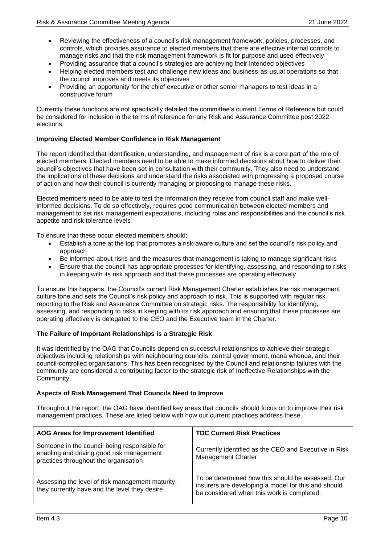- Reviewing the effectiveness of a council's risk management framework, policies, processes, and controls, which provides assurance to elected members that there are effective internal controls to manage risks and that the risk management framework is fit for purpose and used effectively
- Providing assurance that a council's strategies are achieving their intended objectives
- Helping elected members test and challenge new ideas and business-as-usual operations so that the council improves and meets its objectives
- Providing an opportunity for the chief executive or other senior managers to test ideas in a constructive forum

Currently these functions are not specifically detailed the committee's current Terms of Reference but could be considered for inclusion in the terms of reference for any Risk and Assurance Committee post 2022 elections.

# **Improving Elected Member Confidence in Risk Management**

The report identified that identification, understanding, and management of risk is a core part of the role of elected members. Elected members need to be able to make informed decisions about how to deliver their council's objectives that have been set in consultation with their community. They also need to understand the implications of these decisions and understand the risks associated with progressing a proposed course of action and how their council is currently managing or proposing to manage these risks.

Elected members need to be able to test the information they receive from council staff and make wellinformed decisions. To do so effectively, requires good communication between elected members and management to set risk management expectations, including roles and responsibilities and the council's risk appetite and risk tolerance levels

To ensure that these occur elected members should:

- Establish a tone at the top that promotes a risk-aware culture and set the council's risk policy and approach
- Be informed about risks and the measures that management is taking to manage significant risks
- Ensure that the council has appropriate processes for identifying, assessing, and responding to risks in keeping with its risk approach and that these processes are operating effectively

To ensure this happens, the Council's current Risk Management Charter establishes the risk management culture tone and sets the Council's risk policy and approach to risk. This is supported with regular risk reporting to the Risk and Assurance Committee on strategic risks. The responsibility for identifying, assessing, and responding to risks in keeping with its risk approach and ensuring that these processes are operating effectively is delegated to the CEO and the Executive team in the Charter.

# **The Failure of Important Relationships is a Strategic Risk**

It was identified by the OAG that Councils depend on successful relationships to achieve their strategic objectives including relationships with neighbouring councils, central government, mana whenua, and their council-controlled organisations. This has been recognised by the Council and relationship failures with the community are considered a contributing factor to the strategic risk of Ineffective Relationships with the Community.

# **Aspects of Risk Management That Councils Need to Improve**

Throughout the report, the OAG have identified key areas that councils should focus on to improve their risk management practices. These are listed below with how our current practices address these.

| AOG Areas for Improvement Identified                                                                                               | <b>TDC Current Risk Practices</b>                                                                                                                      |
|------------------------------------------------------------------------------------------------------------------------------------|--------------------------------------------------------------------------------------------------------------------------------------------------------|
| Someone in the council being responsible for<br>enabling and driving good risk management<br>practices throughout the organisation | Currently identified as the CEO and Executive in Risk<br><b>Management Charter</b>                                                                     |
| Assessing the level of risk management maturity,<br>they currently have and the level they desire                                  | To be determined how this should be assessed. Our<br>insurers are developing a model for this and should<br>be considered when this work is completed. |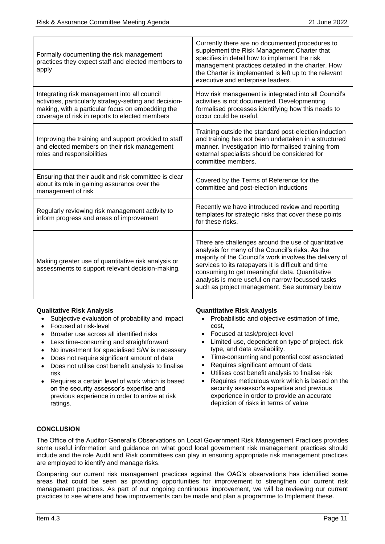| Formally documenting the risk management<br>practices they expect staff and elected members to<br>apply                                                                                                       | Currently there are no documented procedures to<br>supplement the Risk Management Charter that<br>specifies in detail how to implement the risk<br>management practices detailed in the charter. How<br>the Charter is implemented is left up to the relevant<br>executive and enterprise leaders.                                                                               |
|---------------------------------------------------------------------------------------------------------------------------------------------------------------------------------------------------------------|----------------------------------------------------------------------------------------------------------------------------------------------------------------------------------------------------------------------------------------------------------------------------------------------------------------------------------------------------------------------------------|
| Integrating risk management into all council<br>activities, particularly strategy-setting and decision-<br>making, with a particular focus on embedding the<br>coverage of risk in reports to elected members | How risk management is integrated into all Council's<br>activities is not documented. Developmenting<br>formalised processes identifying how this needs to<br>occur could be useful.                                                                                                                                                                                             |
| Improving the training and support provided to staff<br>and elected members on their risk management<br>roles and responsibilities                                                                            | Training outside the standard post-election induction<br>and training has not been undertaken in a structured<br>manner. Investigation into formalised training from<br>external specialists should be considered for<br>committee members.                                                                                                                                      |
| Ensuring that their audit and risk committee is clear<br>about its role in gaining assurance over the<br>management of risk                                                                                   | Covered by the Terms of Reference for the<br>committee and post-election inductions                                                                                                                                                                                                                                                                                              |
| Regularly reviewing risk management activity to<br>inform progress and areas of improvement                                                                                                                   | Recently we have introduced review and reporting<br>templates for strategic risks that cover these points<br>for these risks.                                                                                                                                                                                                                                                    |
| Making greater use of quantitative risk analysis or<br>assessments to support relevant decision-making.                                                                                                       | There are challenges around the use of quantitative<br>analysis for many of the Council's risks. As the<br>majority of the Council's work involves the delivery of<br>services to its ratepayers it is difficult and time<br>consuming to get meaningful data. Quantitative<br>analysis is more useful on narrow focussed tasks<br>such as project management. See summary below |

# **Qualitative Risk Analysis**

- Subjective evaluation of probability and impact
- Focused at risk-level
- Broader use across all identified risks
- Less time-consuming and straightforward
- No investment for specialised S/W is necessary
- Does not require significant amount of data
- Does not utilise cost benefit analysis to finalise risk
- Requires a certain level of work which is based on the security assessor's expertise and previous experience in order to arrive at risk ratings.

#### **Quantitative Risk Analysis**

- Probabilistic and objective estimation of time, cost,
- Focused at task/project-level
- Limited use, dependent on type of project, risk type, and data availability.
- Time-consuming and potential cost associated
- Requires significant amount of data
- Utilises cost benefit analysis to finalise risk
- Requires meticulous work which is based on the security assessor's expertise and previous experience in order to provide an accurate depiction of risks in terms of value

# **CONCLUSION**

The Office of the Auditor General's Observations on Local Government Risk Management Practices provides some useful information and guidance on what good local government risk management practices should include and the role Audit and Risk committees can play in ensuring appropriate risk management practices are employed to identify and manage risks.

Comparing our current risk management practices against the OAG's observations has identified some areas that could be seen as providing opportunities for improvement to strengthen our current risk management practices. As part of our ongoing continuous improvement, we will be reviewing our current practices to see where and how improvements can be made and plan a programme to Implement these.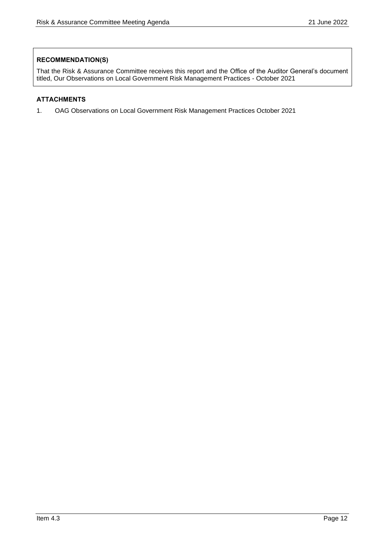# **RECOMMENDATION(S)**

That the Risk & Assurance Committee receives this report and the Office of the Auditor General's document titled, Our Observations on Local Government Risk Management Practices - October 2021

# **ATTACHMENTS**

1. OAG Observations on Local Government Risk Management Practices October 2021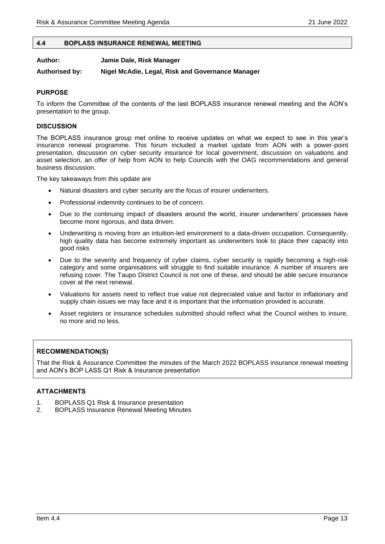## <span id="page-12-0"></span>**4.4 BOPLASS INSURANCE RENEWAL MEETING**

**Author: Jamie Dale, Risk Manager**

#### **Authorised by: Nigel McAdie, Legal, Risk and Governance Manager**

# **PURPOSE**

To inform the Committee of the contents of the last BOPLASS insurance renewal meeting and the AON's presentation to the group.

#### **DISCUSSION**

The BOPLASS insurance group met online to receive updates on what we expect to see in this year's insurance renewal programme. This forum included a market update from AON with a power-point presentation, discussion on cyber security insurance for local government, discussion on valuations and asset selection, an offer of help from AON to help Councils with the OAG recommendations and general business discussion.

The key takeaways from this update are

- Natural disasters and cyber security are the focus of insurer underwriters.
- Professional indemnity continues to be of concern.
- Due to the continuing impact of disasters around the world, insurer underwriters' processes have become more rigorous, and data driven.
- Underwriting is moving from an intuition-led environment to a data-driven occupation. Consequently, high quality data has become extremely important as underwriters look to place their capacity into good risks
- Due to the severity and frequency of cyber claims, cyber security is rapidly becoming a high-risk category and some organisations will struggle to find suitable insurance. A number of insurers are refusing cover. The Taupo District Council is not one of these, and should be able secure insurance cover at the next renewal.
- Valuations for assets need to reflect true value not depreciated value and factor in inflationary and supply chain issues we may face and it is important that the information provided is accurate.
- Asset registers or insurance schedules submitted should reflect what the Council wishes to insure, no more and no less.

#### **RECOMMENDATION(S)**

That the Risk & Assurance Committee the minutes of the March 2022 BOPLASS insurance renewal meeting and AON's BOP LASS Q1 Risk & Insurance presentation

#### **ATTACHMENTS**

- 1. BOPLASS Q1 Risk & Insurance presentation
- 2. BOPLASS Insurance Renewal Meeting Minutes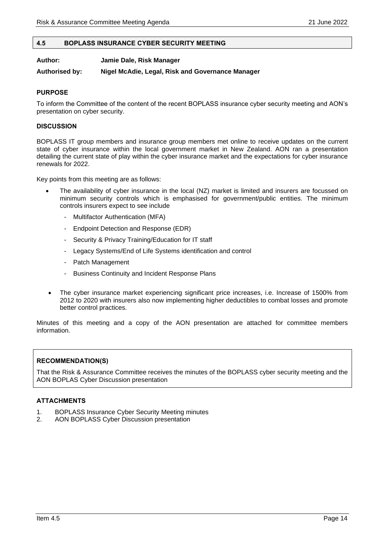#### <span id="page-13-0"></span>**4.5 BOPLASS INSURANCE CYBER SECURITY MEETING**

**Author: Jamie Dale, Risk Manager**

#### **Authorised by: Nigel McAdie, Legal, Risk and Governance Manager**

#### **PURPOSE**

To inform the Committee of the content of the recent BOPLASS insurance cyber security meeting and AON's presentation on cyber security.

#### **DISCUSSION**

BOPLASS IT group members and insurance group members met online to receive updates on the current state of cyber insurance within the local government market in New Zealand. AON ran a presentation detailing the current state of play within the cyber insurance market and the expectations for cyber insurance renewals for 2022.

Key points from this meeting are as follows:

- The availability of cyber insurance in the local (NZ) market is limited and insurers are focussed on minimum security controls which is emphasised for government/public entities. The minimum controls insurers expect to see include
	- Multifactor Authentication (MFA)
	- Endpoint Detection and Response (EDR)
	- Security & Privacy Training/Education for IT staff
	- Legacy Systems/End of Life Systems identification and control
	- Patch Management
	- Business Continuity and Incident Response Plans
- The cyber insurance market experiencing significant price increases, i.e. Increase of 1500% from 2012 to 2020 with insurers also now implementing higher deductibles to combat losses and promote better control practices.

Minutes of this meeting and a copy of the AON presentation are attached for committee members information.

# **RECOMMENDATION(S)**

That the Risk & Assurance Committee receives the minutes of the BOPLASS cyber security meeting and the AON BOPLAS Cyber Discussion presentation

#### **ATTACHMENTS**

- 1. BOPLASS Insurance Cyber Security Meeting minutes
- 2. AON BOPLASS Cyber Discussion presentation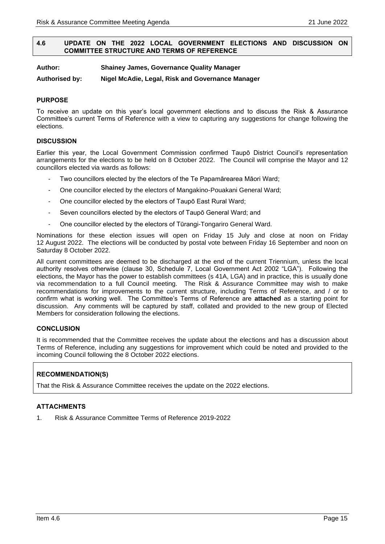# <span id="page-14-0"></span>**4.6 UPDATE ON THE 2022 LOCAL GOVERNMENT ELECTIONS AND DISCUSSION ON COMMITTEE STRUCTURE AND TERMS OF REFERENCE**

**Author: Shainey James, Governance Quality Manager**

**Authorised by: Nigel McAdie, Legal, Risk and Governance Manager**

# **PURPOSE**

To receive an update on this year's local government elections and to discuss the Risk & Assurance Committee's current Terms of Reference with a view to capturing any suggestions for change following the elections.

# **DISCUSSION**

Earlier this year, the Local Government Commission confirmed Taupō District Council's representation arrangements for the elections to be held on 8 October 2022. The Council will comprise the Mayor and 12 councillors elected via wards as follows:

- Two councillors elected by the electors of the Te Papamārearea Māori Ward;
- One councillor elected by the electors of Mangakino-Pouakani General Ward;
- One councillor elected by the electors of Taupō East Rural Ward;
- Seven councillors elected by the electors of Taupō General Ward; and
- One councillor elected by the electors of Tūrangi-Tongariro General Ward.

Nominations for these election issues will open on Friday 15 July and close at noon on Friday 12 August 2022. The elections will be conducted by postal vote between Friday 16 September and noon on Saturday 8 October 2022.

All current committees are deemed to be discharged at the end of the current Triennium, unless the local authority resolves otherwise (clause 30, Schedule 7, Local Government Act 2002 "LGA"). Following the elections, the Mayor has the power to establish committees (s 41A, LGA) and in practice, this is usually done via recommendation to a full Council meeting. The Risk & Assurance Committee may wish to make recommendations for improvements to the current structure, including Terms of Reference, and / or to confirm what is working well. The Committee's Terms of Reference are **attached** as a starting point for discussion. Any comments will be captured by staff, collated and provided to the new group of Elected Members for consideration following the elections.

# **CONCLUSION**

It is recommended that the Committee receives the update about the elections and has a discussion about Terms of Reference, including any suggestions for improvement which could be noted and provided to the incoming Council following the 8 October 2022 elections.

# **RECOMMENDATION(S)**

That the Risk & Assurance Committee receives the update on the 2022 elections.

# **ATTACHMENTS**

1. Risk & Assurance Committee Terms of Reference 2019-2022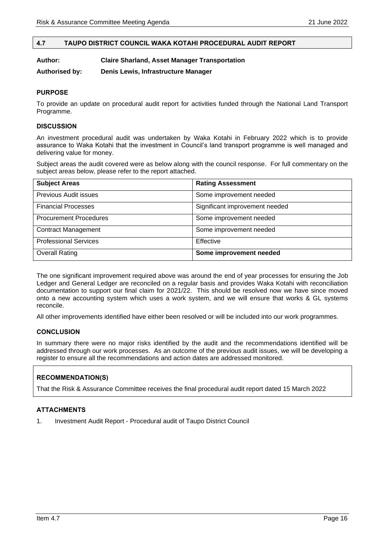# <span id="page-15-0"></span>**4.7 TAUPO DISTRICT COUNCIL WAKA KOTAHI PROCEDURAL AUDIT REPORT**

| Author: | <b>Claire Sharland, Asset Manager Transportation</b> |  |
|---------|------------------------------------------------------|--|
|         |                                                      |  |

**Authorised by: Denis Lewis, Infrastructure Manager**

# **PURPOSE**

To provide an update on procedural audit report for activities funded through the National Land Transport Programme.

#### **DISCUSSION**

An investment procedural audit was undertaken by Waka Kotahi in February 2022 which is to provide assurance to Waka Kotahi that the investment in Council's land transport programme is well managed and delivering value for money.

Subject areas the audit covered were as below along with the council response. For full commentary on the subject areas below, please refer to the report attached.

| <b>Subject Areas</b>          | <b>Rating Assessment</b>       |
|-------------------------------|--------------------------------|
| Previous Audit issues         | Some improvement needed        |
| <b>Financial Processes</b>    | Significant improvement needed |
| <b>Procurement Procedures</b> | Some improvement needed        |
| <b>Contract Management</b>    | Some improvement needed        |
| <b>Professional Services</b>  | Effective                      |
| <b>Overall Rating</b>         | Some improvement needed        |

The one significant improvement required above was around the end of year processes for ensuring the Job Ledger and General Ledger are reconciled on a regular basis and provides Waka Kotahi with reconciliation documentation to support our final claim for 2021/22. This should be resolved now we have since moved onto a new accounting system which uses a work system, and we will ensure that works & GL systems reconcile.

All other improvements identified have either been resolved or will be included into our work programmes.

#### **CONCLUSION**

In summary there were no major risks identified by the audit and the recommendations identified will be addressed through our work processes. As an outcome of the previous audit issues, we will be developing a register to ensure all the recommendations and action dates are addressed monitored.

# **RECOMMENDATION(S)**

That the Risk & Assurance Committee receives the final procedural audit report dated 15 March 2022

# **ATTACHMENTS**

1. Investment Audit Report - Procedural audit of Taupo District Council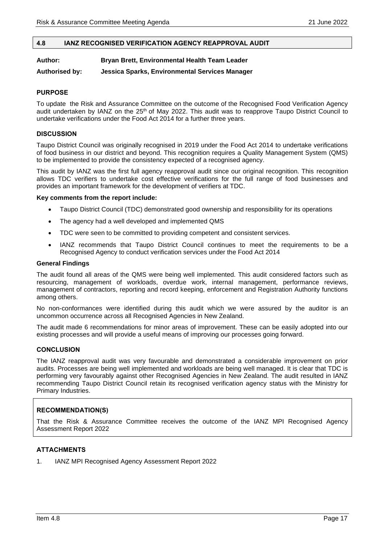## <span id="page-16-0"></span>**4.8 IANZ RECOGNISED VERIFICATION AGENCY REAPPROVAL AUDIT**

#### **Author: Bryan Brett, Environmental Health Team Leader**

**Authorised by: Jessica Sparks, Environmental Services Manager**

# **PURPOSE**

To update the Risk and Assurance Committee on the outcome of the Recognised Food Verification Agency audit undertaken by IANZ on the 25<sup>th</sup> of May 2022. This audit was to reapprove Taupo District Council to undertake verifications under the Food Act 2014 for a further three years.

#### **DISCUSSION**

Taupo District Council was originally recognised in 2019 under the Food Act 2014 to undertake verifications of food business in our district and beyond. This recognition requires a Quality Management System (QMS) to be implemented to provide the consistency expected of a recognised agency.

This audit by IANZ was the first full agency reapproval audit since our original recognition. This recognition allows TDC verifiers to undertake cost effective verifications for the full range of food businesses and provides an important framework for the development of verifiers at TDC.

#### **Key comments from the report include:**

- Taupo District Council (TDC) demonstrated good ownership and responsibility for its operations
- The agency had a well developed and implemented QMS
- TDC were seen to be committed to providing competent and consistent services.
- IANZ recommends that Taupo District Council continues to meet the requirements to be a Recognised Agency to conduct verification services under the Food Act 2014

#### **General Findings**

The audit found all areas of the QMS were being well implemented. This audit considered factors such as resourcing, management of workloads, overdue work, internal management, performance reviews, management of contractors, reporting and record keeping, enforcement and Registration Authority functions among others.

No non-conformances were identified during this audit which we were assured by the auditor is an uncommon occurrence across all Recognised Agencies in New Zealand.

The audit made 6 recommendations for minor areas of improvement. These can be easily adopted into our existing processes and will provide a useful means of improving our processes going forward.

#### **CONCLUSION**

The IANZ reapproval audit was very favourable and demonstrated a considerable improvement on prior audits. Processes are being well implemented and workloads are being well managed. It is clear that TDC is performing very favourably against other Recognised Agencies in New Zealand. The audit resulted in IANZ recommending Taupo District Council retain its recognised verification agency status with the Ministry for Primary Industries.

#### **RECOMMENDATION(S)**

That the Risk & Assurance Committee receives the outcome of the IANZ MPI Recognised Agency Assessment Report 2022

# **ATTACHMENTS**

1. IANZ MPI Recognised Agency Assessment Report 2022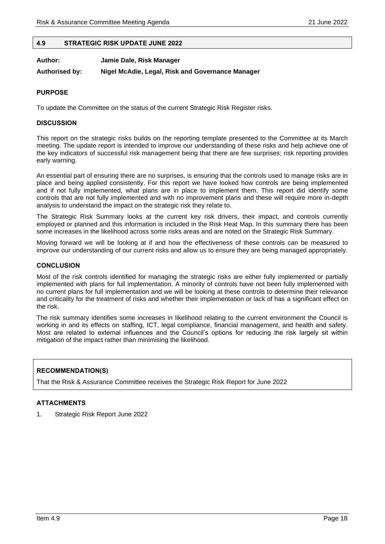#### <span id="page-17-0"></span>**4.9 STRATEGIC RISK UPDATE JUNE 2022**

| Author:               | Jamie Dale, Risk Manager                         |
|-----------------------|--------------------------------------------------|
| <b>Authorised by:</b> | Nigel McAdie, Legal, Risk and Governance Manager |

#### **PURPOSE**

To update the Committee on the status of the current Strategic Risk Register risks.

#### **DISCUSSION**

This report on the strategic risks builds on the reporting template presented to the Committee at its March meeting. The update report is intended to improve our understanding of these risks and help achieve one of the key indicators of successful risk management being that there are few surprises; risk reporting provides early warning.

An essential part of ensuring there are no surprises, is ensuring that the controls used to manage risks are in place and being applied consistently. For this report we have looked how controls are being implemented and if not fully implemented, what plans are in place to implement them. This report did identify some controls that are not fully implemented and with no improvement plans and these will require more in-depth analysis to understand the impact on the strategic risk they relate to.

The Strategic Risk Summary looks at the current key risk drivers, their impact, and controls currently employed or planned and this information is included in the Risk Heat Map. In this summary there has been some increases in the likelihood across some risks areas and are noted on the Strategic Risk Summary.

Moving forward we will be looking at if and how the effectiveness of these controls can be measured to improve our understanding of our current risks and allow us to ensure they are being managed appropriately.

### **CONCLUSION**

Most of the risk controls identified for managing the strategic risks are either fully implemented or partially implemented with plans for full implementation. A minority of controls have not been fully implemented with no current plans for full implementation and we will be looking at these controls to determine their relevance and criticality for the treatment of risks and whether their implementation or lack of has a significant effect on the risk.

The risk summary identifies some increases in likelihood relating to the current environment the Council is working in and its effects on staffing, ICT, legal compliance, financial management, and health and safety. Most are related to external influences and the Council's options for reducing the risk largely sit within mitigation of the impact rather than minimising the likelihood.

# **RECOMMENDATION(S)**

That the Risk & Assurance Committee receives the Strategic Risk Report for June 2022

# **ATTACHMENTS**

1. Strategic Risk Report June 2022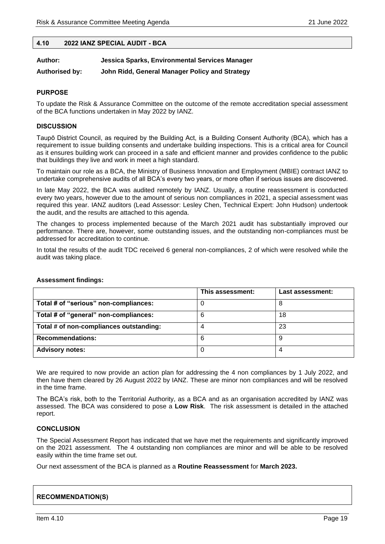#### <span id="page-18-0"></span>**4.10 2022 IANZ SPECIAL AUDIT - BCA**

| Author: | Jessica Sparks, Environmental Services Manager |
|---------|------------------------------------------------|
|---------|------------------------------------------------|

**Authorised by: John Ridd, General Manager Policy and Strategy**

#### **PURPOSE**

To update the Risk & Assurance Committee on the outcome of the remote accreditation special assessment of the BCA functions undertaken in May 2022 by IANZ.

#### **DISCUSSION**

Taupō District Council, as required by the Building Act, is a Building Consent Authority (BCA), which has a requirement to issue building consents and undertake building inspections. This is a critical area for Council as it ensures building work can proceed in a safe and efficient manner and provides confidence to the public that buildings they live and work in meet a high standard.

To maintain our role as a BCA, the Ministry of Business Innovation and Employment (MBIE) contract IANZ to undertake comprehensive audits of all BCA's every two years, or more often if serious issues are discovered.

In late May 2022, the BCA was audited remotely by IANZ. Usually, a routine reassessment is conducted every two years, however due to the amount of serious non compliances in 2021, a special assessment was required this year. IANZ auditors (Lead Assessor: Lesley Chen, Technical Expert: John Hudson) undertook the audit, and the results are attached to this agenda.

The changes to process implemented because of the March 2021 audit has substantially improved our performance. There are, however, some outstanding issues, and the outstanding non-compliances must be addressed for accreditation to continue.

In total the results of the audit TDC received 6 general non-compliances, 2 of which were resolved while the audit was taking place.

|                                         | This assessment: | Last assessment: |
|-----------------------------------------|------------------|------------------|
| Total # of "serious" non-compliances:   |                  | 8                |
| Total # of "general" non-compliances:   |                  | 18               |
| Total # of non-compliances outstanding: |                  | 23               |
| <b>Recommendations:</b>                 | 6                | 9                |
| <b>Advisory notes:</b>                  |                  |                  |

#### **Assessment findings:**

We are required to now provide an action plan for addressing the 4 non compliances by 1 July 2022, and then have them cleared by 26 August 2022 by IANZ. These are minor non compliances and will be resolved in the time frame.

The BCA's risk, both to the Territorial Authority, as a BCA and as an organisation accredited by IANZ was assessed. The BCA was considered to pose a **Low Risk**. The risk assessment is detailed in the attached report.

# **CONCLUSION**

The Special Assessment Report has indicated that we have met the requirements and significantly improved on the 2021 assessment. The 4 outstanding non compliances are minor and will be able to be resolved easily within the time frame set out.

Our next assessment of the BCA is planned as a **Routine Reassessment** for **March 2023.** 

# **RECOMMENDATION(S)**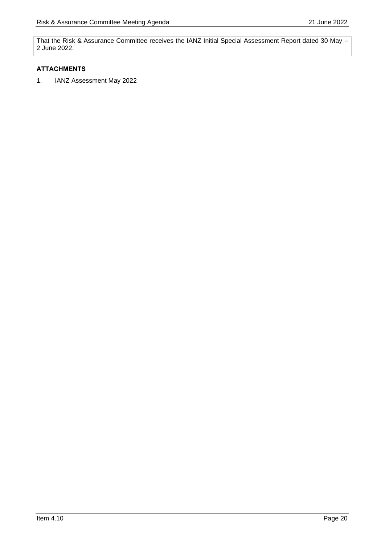That the Risk & Assurance Committee receives the IANZ Initial Special Assessment Report dated 30 May – 2 June 2022.

# **ATTACHMENTS**

1. IANZ Assessment May 2022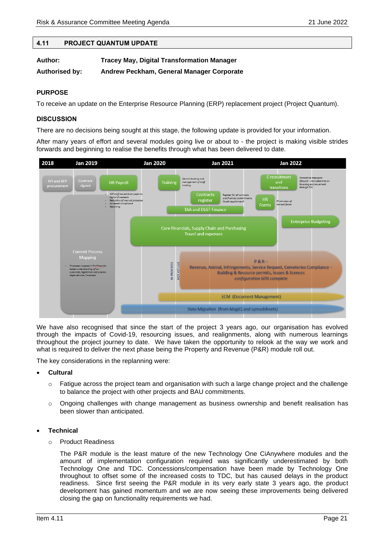# <span id="page-20-0"></span>**4.11 PROJECT QUANTUM UPDATE**

| Author:               | <b>Tracey May, Digital Transformation Manager</b> |
|-----------------------|---------------------------------------------------|
| <b>Authorised by:</b> | Andrew Peckham, General Manager Corporate         |

# **PURPOSE**

To receive an update on the Enterprise Resource Planning (ERP) replacement project (Project Quantum).

# **DISCUSSION**

There are no decisions being sought at this stage, the following update is provided for your information.

After many years of effort and several modules going live or about to - the project is making visible strides forwards and beginning to realise the benefits through what has been delivered to date.



We have also recognised that since the start of the project 3 years ago, our organisation has evolved through the impacts of Covid-19, resourcing issues, and realignments, along with numerous learnings throughout the project journey to date. We have taken the opportunity to relook at the way we work and what is required to deliver the next phase being the Property and Revenue (P&R) module roll out.

The key considerations in the replanning were:

- **Cultural**
	- $\circ$  Fatigue across the project team and organisation with such a large change project and the challenge to balance the project with other projects and BAU commitments.
	- $\circ$  Ongoing challenges with change management as business ownership and benefit realisation has been slower than anticipated.

#### • **Technical**

o Product Readiness

The P&R module is the least mature of the new Technology One CiAnywhere modules and the amount of implementation configuration required was significantly underestimated by both Technology One and TDC. Concessions/compensation have been made by Technology One throughout to offset some of the increased costs to TDC, but has caused delays in the product readiness. Since first seeing the P&R module in its very early state 3 years ago, the product development has gained momentum and we are now seeing these improvements being delivered closing the gap on functionality requirements we had.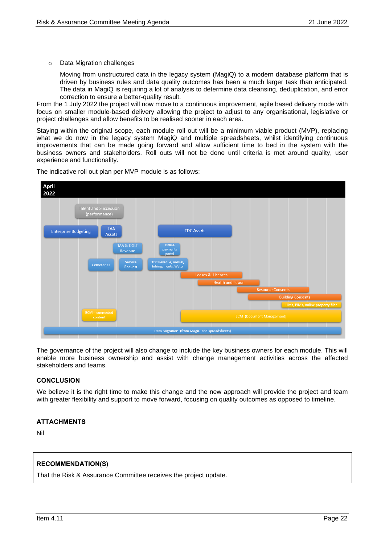o Data Migration challenges

Moving from unstructured data in the legacy system (MagiQ) to a modern database platform that is driven by business rules and data quality outcomes has been a much larger task than anticipated. The data in MagiQ is requiring a lot of analysis to determine data cleansing, deduplication, and error correction to ensure a better-quality result.

From the 1 July 2022 the project will now move to a continuous improvement, agile based delivery mode with focus on smaller module-based delivery allowing the project to adjust to any organisational, legislative or project challenges and allow benefits to be realised sooner in each area.

Staying within the original scope, each module roll out will be a minimum viable product (MVP), replacing what we do now in the legacy system MagiQ and multiple spreadsheets, whilst identifying continuous improvements that can be made going forward and allow sufficient time to bed in the system with the business owners and stakeholders. Roll outs will not be done until criteria is met around quality, user experience and functionality.



The indicative roll out plan per MVP module is as follows:

The governance of the project will also change to include the key business owners for each module. This will enable more business ownership and assist with change management activities across the affected stakeholders and teams.

# **CONCLUSION**

We believe it is the right time to make this change and the new approach will provide the project and team with greater flexibility and support to move forward, focusing on quality outcomes as opposed to timeline.

# **ATTACHMENTS**

Nil

# **RECOMMENDATION(S)**

That the Risk & Assurance Committee receives the project update.